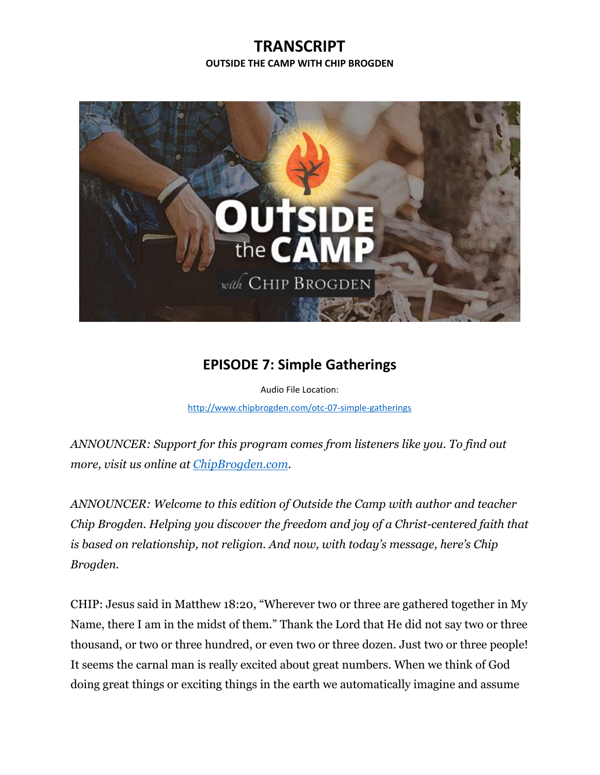## **TRANSCRIPT OUTSIDE THE CAMP WITH CHIP BROGDEN**



## **EPISODE 7: Simple Gatherings**

Audio File Location: <http://www.chipbrogden.com/otc-07-simple-gatherings>

*ANNOUNCER: Support for this program comes from listeners like you. To find out more, visit us online at [ChipBrogden.com.](http://www.chipbrogden.com/)*

*ANNOUNCER: Welcome to this edition of Outside the Camp with author and teacher Chip Brogden. Helping you discover the freedom and joy of a Christ-centered faith that is based on relationship, not religion. And now, with today's message, here's Chip Brogden.*

CHIP: Jesus said in Matthew 18:20, "Wherever two or three are gathered together in My Name, there I am in the midst of them." Thank the Lord that He did not say two or three thousand, or two or three hundred, or even two or three dozen. Just two or three people! It seems the carnal man is really excited about great numbers. When we think of God doing great things or exciting things in the earth we automatically imagine and assume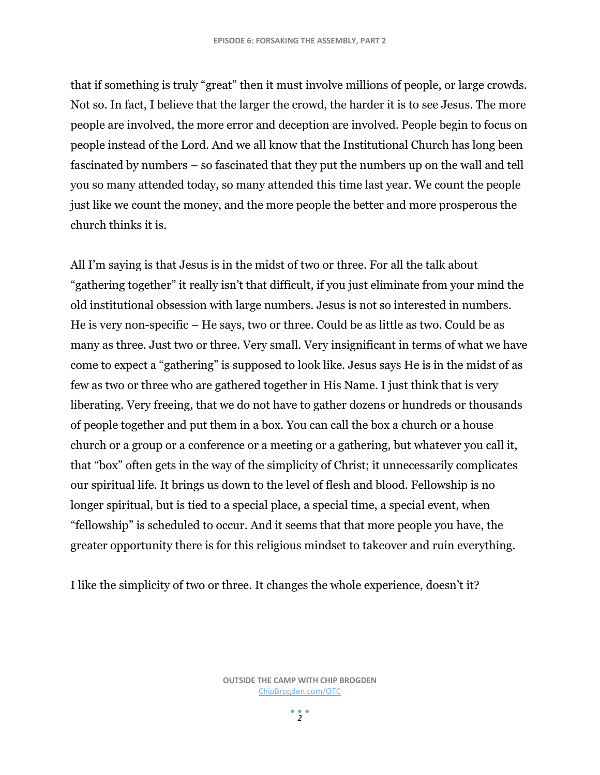that if something is truly "great" then it must involve millions of people, or large crowds. Not so. In fact, I believe that the larger the crowd, the harder it is to see Jesus. The more people are involved, the more error and deception are involved. People begin to focus on people instead of the Lord. And we all know that the Institutional Church has long been fascinated by numbers – so fascinated that they put the numbers up on the wall and tell you so many attended today, so many attended this time last year. We count the people just like we count the money, and the more people the better and more prosperous the church thinks it is.

All I'm saying is that Jesus is in the midst of two or three. For all the talk about "gathering together" it really isn't that difficult, if you just eliminate from your mind the old institutional obsession with large numbers. Jesus is not so interested in numbers. He is very non-specific – He says, two or three. Could be as little as two. Could be as many as three. Just two or three. Very small. Very insignificant in terms of what we have come to expect a "gathering" is supposed to look like. Jesus says He is in the midst of as few as two or three who are gathered together in His Name. I just think that is very liberating. Very freeing, that we do not have to gather dozens or hundreds or thousands of people together and put them in a box. You can call the box a church or a house church or a group or a conference or a meeting or a gathering, but whatever you call it, that "box" often gets in the way of the simplicity of Christ; it unnecessarily complicates our spiritual life. It brings us down to the level of flesh and blood. Fellowship is no longer spiritual, but is tied to a special place, a special time, a special event, when "fellowship" is scheduled to occur. And it seems that that more people you have, the greater opportunity there is for this religious mindset to takeover and ruin everything.

I like the simplicity of two or three. It changes the whole experience, doesn't it?

**OUTSIDE THE CAMP WITH CHIP BROGDEN** [ChipBrogden.com/OTC](http://chipbrogden.com/OTC)

 $2<sup>2</sup>$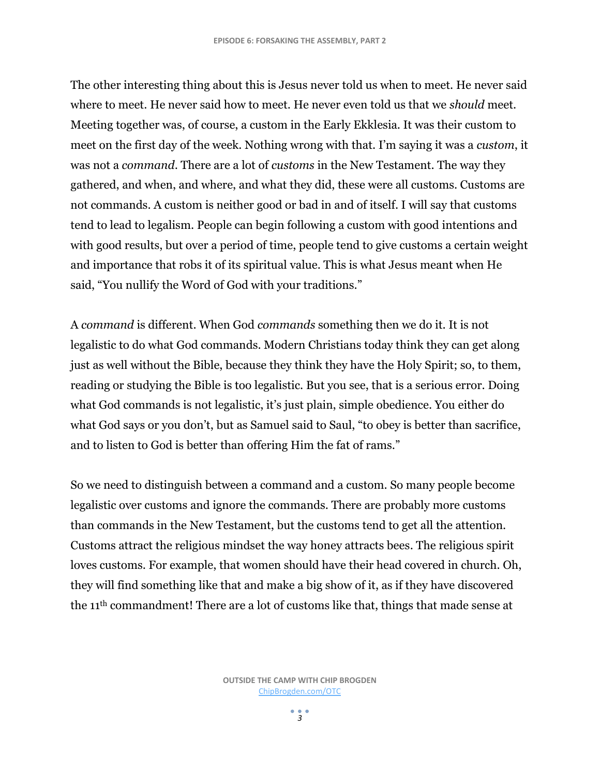The other interesting thing about this is Jesus never told us when to meet. He never said where to meet. He never said how to meet. He never even told us that we *should* meet. Meeting together was, of course, a custom in the Early Ekklesia. It was their custom to meet on the first day of the week. Nothing wrong with that. I'm saying it was a *custom*, it was not a *command*. There are a lot of *customs* in the New Testament. The way they gathered, and when, and where, and what they did, these were all customs. Customs are not commands. A custom is neither good or bad in and of itself. I will say that customs tend to lead to legalism. People can begin following a custom with good intentions and with good results, but over a period of time, people tend to give customs a certain weight and importance that robs it of its spiritual value. This is what Jesus meant when He said, "You nullify the Word of God with your traditions."

A *command* is different. When God *commands* something then we do it. It is not legalistic to do what God commands. Modern Christians today think they can get along just as well without the Bible, because they think they have the Holy Spirit; so, to them, reading or studying the Bible is too legalistic. But you see, that is a serious error. Doing what God commands is not legalistic, it's just plain, simple obedience. You either do what God says or you don't, but as Samuel said to Saul, "to obey is better than sacrifice, and to listen to God is better than offering Him the fat of rams."

So we need to distinguish between a command and a custom. So many people become legalistic over customs and ignore the commands. There are probably more customs than commands in the New Testament, but the customs tend to get all the attention. Customs attract the religious mindset the way honey attracts bees. The religious spirit loves customs. For example, that women should have their head covered in church. Oh, they will find something like that and make a big show of it, as if they have discovered the 11th commandment! There are a lot of customs like that, things that made sense at

> **OUTSIDE THE CAMP WITH CHIP BROGDEN** [ChipBrogden.com/OTC](http://chipbrogden.com/OTC)

> > $\frac{1}{2}$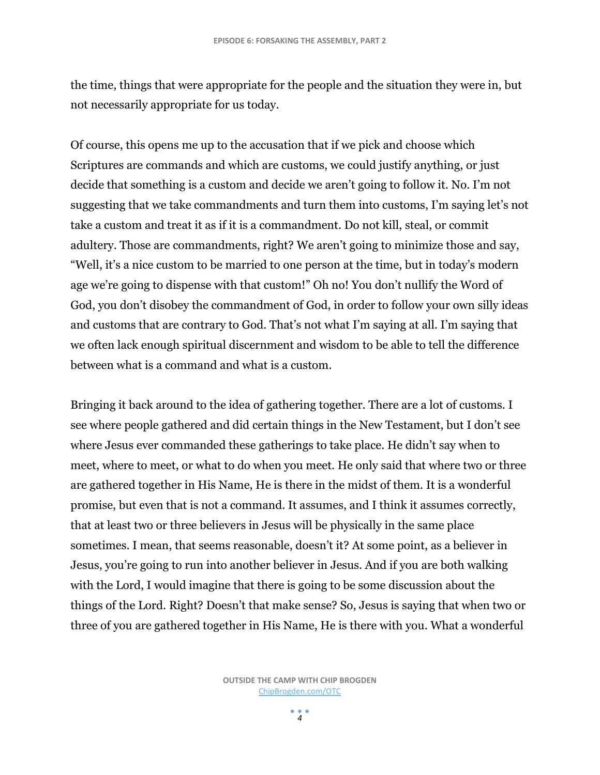the time, things that were appropriate for the people and the situation they were in, but not necessarily appropriate for us today.

Of course, this opens me up to the accusation that if we pick and choose which Scriptures are commands and which are customs, we could justify anything, or just decide that something is a custom and decide we aren't going to follow it. No. I'm not suggesting that we take commandments and turn them into customs, I'm saying let's not take a custom and treat it as if it is a commandment. Do not kill, steal, or commit adultery. Those are commandments, right? We aren't going to minimize those and say, "Well, it's a nice custom to be married to one person at the time, but in today's modern age we're going to dispense with that custom!" Oh no! You don't nullify the Word of God, you don't disobey the commandment of God, in order to follow your own silly ideas and customs that are contrary to God. That's not what I'm saying at all. I'm saying that we often lack enough spiritual discernment and wisdom to be able to tell the difference between what is a command and what is a custom.

Bringing it back around to the idea of gathering together. There are a lot of customs. I see where people gathered and did certain things in the New Testament, but I don't see where Jesus ever commanded these gatherings to take place. He didn't say when to meet, where to meet, or what to do when you meet. He only said that where two or three are gathered together in His Name, He is there in the midst of them. It is a wonderful promise, but even that is not a command. It assumes, and I think it assumes correctly, that at least two or three believers in Jesus will be physically in the same place sometimes. I mean, that seems reasonable, doesn't it? At some point, as a believer in Jesus, you're going to run into another believer in Jesus. And if you are both walking with the Lord, I would imagine that there is going to be some discussion about the things of the Lord. Right? Doesn't that make sense? So, Jesus is saying that when two or three of you are gathered together in His Name, He is there with you. What a wonderful

> **OUTSIDE THE CAMP WITH CHIP BROGDEN** [ChipBrogden.com/OTC](http://chipbrogden.com/OTC)

> > $\frac{1}{4}$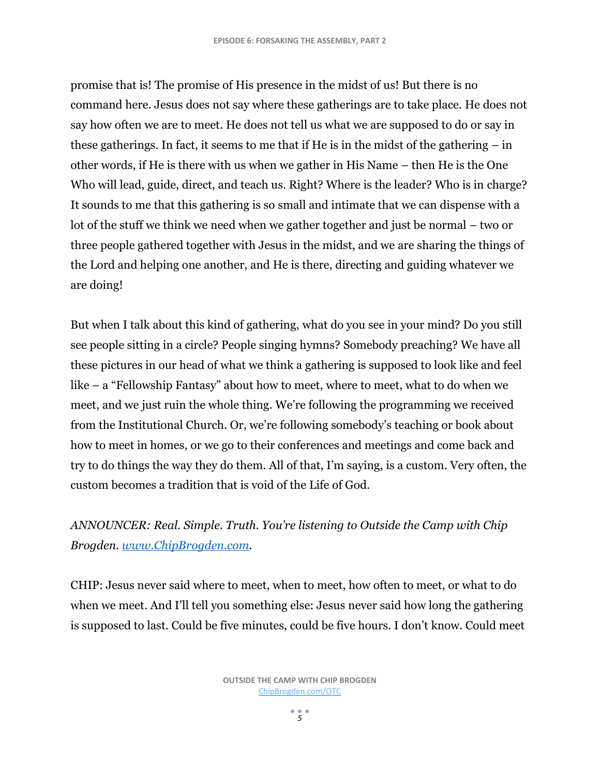promise that is! The promise of His presence in the midst of us! But there is no command here. Jesus does not say where these gatherings are to take place. He does not say how often we are to meet. He does not tell us what we are supposed to do or say in these gatherings. In fact, it seems to me that if He is in the midst of the gathering – in other words, if He is there with us when we gather in His Name – then He is the One Who will lead, guide, direct, and teach us. Right? Where is the leader? Who is in charge? It sounds to me that this gathering is so small and intimate that we can dispense with a lot of the stuff we think we need when we gather together and just be normal – two or three people gathered together with Jesus in the midst, and we are sharing the things of the Lord and helping one another, and He is there, directing and guiding whatever we are doing!

But when I talk about this kind of gathering, what do you see in your mind? Do you still see people sitting in a circle? People singing hymns? Somebody preaching? We have all these pictures in our head of what we think a gathering is supposed to look like and feel like – a "Fellowship Fantasy" about how to meet, where to meet, what to do when we meet, and we just ruin the whole thing. We're following the programming we received from the Institutional Church. Or, we're following somebody's teaching or book about how to meet in homes, or we go to their conferences and meetings and come back and try to do things the way they do them. All of that, I'm saying, is a custom. Very often, the custom becomes a tradition that is void of the Life of God.

*ANNOUNCER: Real. Simple. Truth. You're listening to Outside the Camp with Chip Brogden. [www.ChipBrogden.com.](www.ChipBrogden.com)*

CHIP: Jesus never said where to meet, when to meet, how often to meet, or what to do when we meet. And I'll tell you something else: Jesus never said how long the gathering is supposed to last. Could be five minutes, could be five hours. I don't know. Could meet

 $\frac{1}{5}$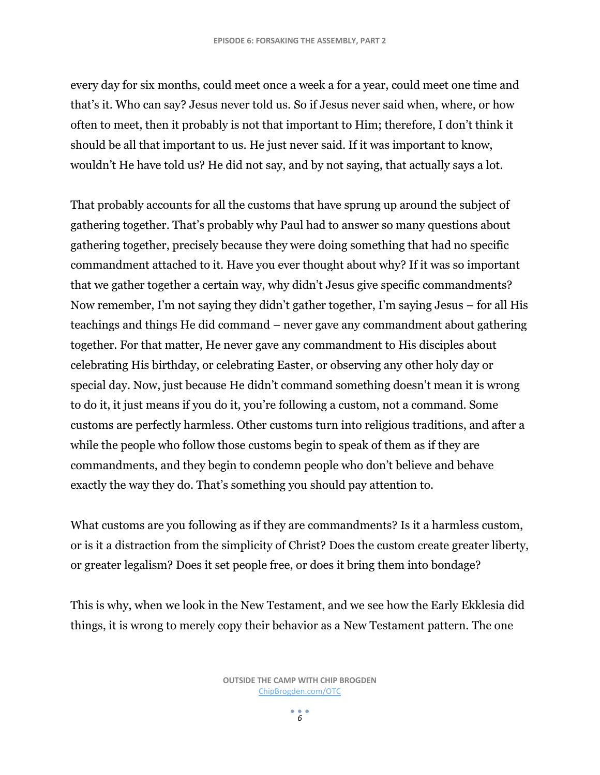every day for six months, could meet once a week a for a year, could meet one time and that's it. Who can say? Jesus never told us. So if Jesus never said when, where, or how often to meet, then it probably is not that important to Him; therefore, I don't think it should be all that important to us. He just never said. If it was important to know, wouldn't He have told us? He did not say, and by not saying, that actually says a lot.

That probably accounts for all the customs that have sprung up around the subject of gathering together. That's probably why Paul had to answer so many questions about gathering together, precisely because they were doing something that had no specific commandment attached to it. Have you ever thought about why? If it was so important that we gather together a certain way, why didn't Jesus give specific commandments? Now remember, I'm not saying they didn't gather together, I'm saying Jesus – for all His teachings and things He did command – never gave any commandment about gathering together. For that matter, He never gave any commandment to His disciples about celebrating His birthday, or celebrating Easter, or observing any other holy day or special day. Now, just because He didn't command something doesn't mean it is wrong to do it, it just means if you do it, you're following a custom, not a command. Some customs are perfectly harmless. Other customs turn into religious traditions, and after a while the people who follow those customs begin to speak of them as if they are commandments, and they begin to condemn people who don't believe and behave exactly the way they do. That's something you should pay attention to.

What customs are you following as if they are commandments? Is it a harmless custom, or is it a distraction from the simplicity of Christ? Does the custom create greater liberty, or greater legalism? Does it set people free, or does it bring them into bondage?

This is why, when we look in the New Testament, and we see how the Early Ekklesia did things, it is wrong to merely copy their behavior as a New Testament pattern. The one

 $\frac{1}{6}$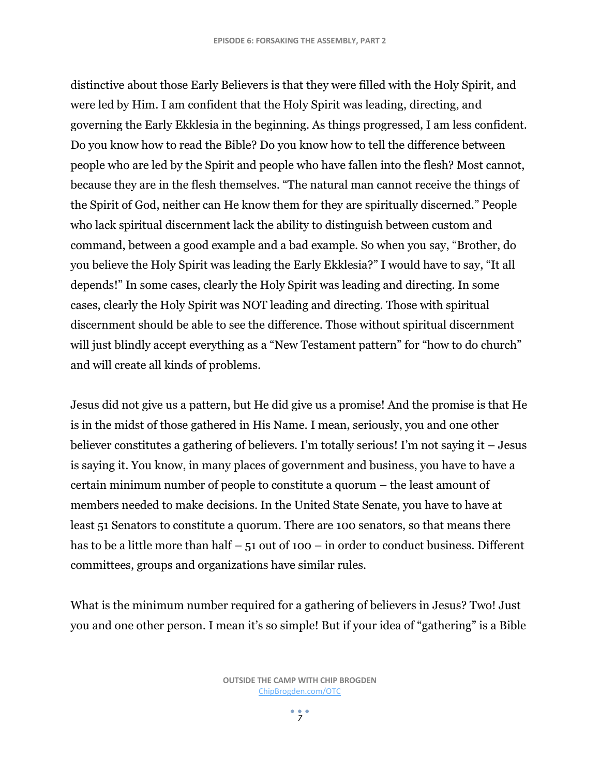distinctive about those Early Believers is that they were filled with the Holy Spirit, and were led by Him. I am confident that the Holy Spirit was leading, directing, and governing the Early Ekklesia in the beginning. As things progressed, I am less confident. Do you know how to read the Bible? Do you know how to tell the difference between people who are led by the Spirit and people who have fallen into the flesh? Most cannot, because they are in the flesh themselves. "The natural man cannot receive the things of the Spirit of God, neither can He know them for they are spiritually discerned." People who lack spiritual discernment lack the ability to distinguish between custom and command, between a good example and a bad example. So when you say, "Brother, do you believe the Holy Spirit was leading the Early Ekklesia?" I would have to say, "It all depends!" In some cases, clearly the Holy Spirit was leading and directing. In some cases, clearly the Holy Spirit was NOT leading and directing. Those with spiritual discernment should be able to see the difference. Those without spiritual discernment will just blindly accept everything as a "New Testament pattern" for "how to do church" and will create all kinds of problems.

Jesus did not give us a pattern, but He did give us a promise! And the promise is that He is in the midst of those gathered in His Name. I mean, seriously, you and one other believer constitutes a gathering of believers. I'm totally serious! I'm not saying it – Jesus is saying it. You know, in many places of government and business, you have to have a certain minimum number of people to constitute a quorum – the least amount of members needed to make decisions. In the United State Senate, you have to have at least 51 Senators to constitute a quorum. There are 100 senators, so that means there has to be a little more than half  $-51$  out of 100 – in order to conduct business. Different committees, groups and organizations have similar rules.

What is the minimum number required for a gathering of believers in Jesus? Two! Just you and one other person. I mean it's so simple! But if your idea of "gathering" is a Bible

 $\frac{1}{7}$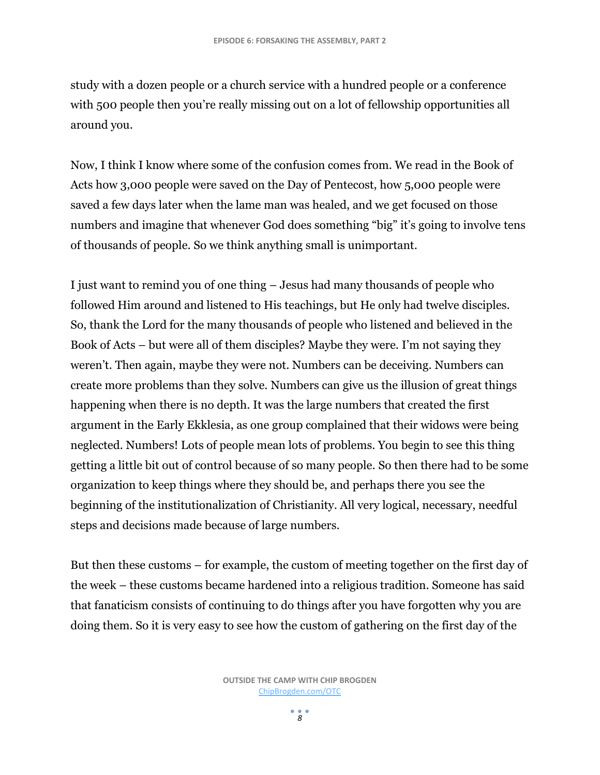study with a dozen people or a church service with a hundred people or a conference with 500 people then you're really missing out on a lot of fellowship opportunities all around you.

Now, I think I know where some of the confusion comes from. We read in the Book of Acts how 3,000 people were saved on the Day of Pentecost, how 5,000 people were saved a few days later when the lame man was healed, and we get focused on those numbers and imagine that whenever God does something "big" it's going to involve tens of thousands of people. So we think anything small is unimportant.

I just want to remind you of one thing – Jesus had many thousands of people who followed Him around and listened to His teachings, but He only had twelve disciples. So, thank the Lord for the many thousands of people who listened and believed in the Book of Acts – but were all of them disciples? Maybe they were. I'm not saying they weren't. Then again, maybe they were not. Numbers can be deceiving. Numbers can create more problems than they solve. Numbers can give us the illusion of great things happening when there is no depth. It was the large numbers that created the first argument in the Early Ekklesia, as one group complained that their widows were being neglected. Numbers! Lots of people mean lots of problems. You begin to see this thing getting a little bit out of control because of so many people. So then there had to be some organization to keep things where they should be, and perhaps there you see the beginning of the institutionalization of Christianity. All very logical, necessary, needful steps and decisions made because of large numbers.

But then these customs – for example, the custom of meeting together on the first day of the week – these customs became hardened into a religious tradition. Someone has said that fanaticism consists of continuing to do things after you have forgotten why you are doing them. So it is very easy to see how the custom of gathering on the first day of the

 $\frac{1}{8}$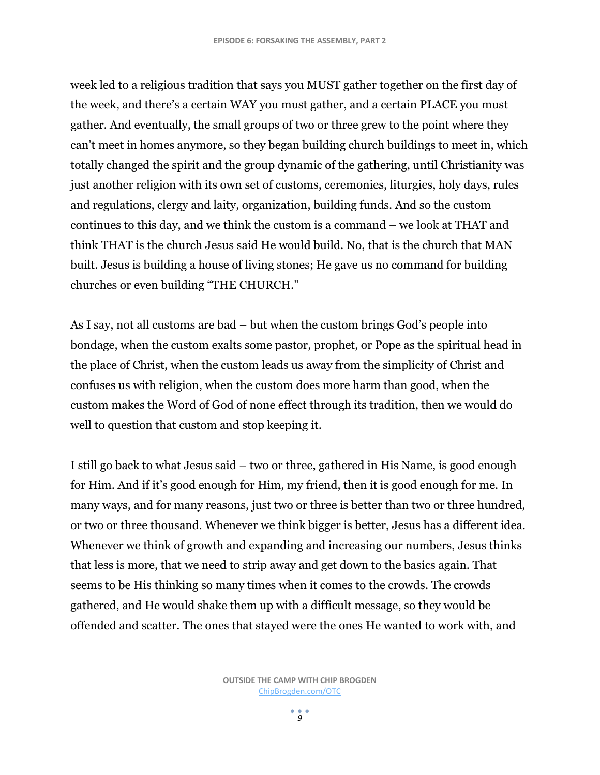week led to a religious tradition that says you MUST gather together on the first day of the week, and there's a certain WAY you must gather, and a certain PLACE you must gather. And eventually, the small groups of two or three grew to the point where they can't meet in homes anymore, so they began building church buildings to meet in, which totally changed the spirit and the group dynamic of the gathering, until Christianity was just another religion with its own set of customs, ceremonies, liturgies, holy days, rules and regulations, clergy and laity, organization, building funds. And so the custom continues to this day, and we think the custom is a command – we look at THAT and think THAT is the church Jesus said He would build. No, that is the church that MAN built. Jesus is building a house of living stones; He gave us no command for building churches or even building "THE CHURCH."

As I say, not all customs are bad – but when the custom brings God's people into bondage, when the custom exalts some pastor, prophet, or Pope as the spiritual head in the place of Christ, when the custom leads us away from the simplicity of Christ and confuses us with religion, when the custom does more harm than good, when the custom makes the Word of God of none effect through its tradition, then we would do well to question that custom and stop keeping it.

I still go back to what Jesus said – two or three, gathered in His Name, is good enough for Him. And if it's good enough for Him, my friend, then it is good enough for me. In many ways, and for many reasons, just two or three is better than two or three hundred, or two or three thousand. Whenever we think bigger is better, Jesus has a different idea. Whenever we think of growth and expanding and increasing our numbers, Jesus thinks that less is more, that we need to strip away and get down to the basics again. That seems to be His thinking so many times when it comes to the crowds. The crowds gathered, and He would shake them up with a difficult message, so they would be offended and scatter. The ones that stayed were the ones He wanted to work with, and

 $\frac{9}{9}$